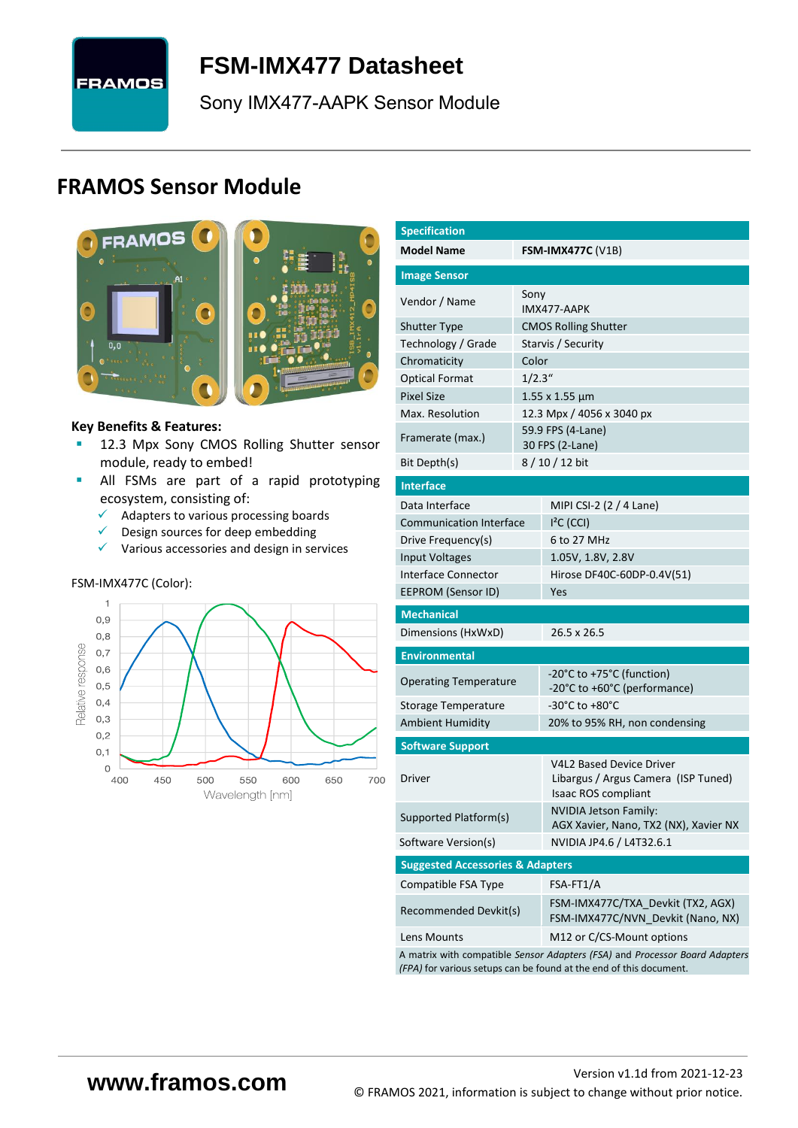

# <span id="page-0-7"></span>**FSM-IMX477 [Datasheet](#page-0-0)**

<span id="page-0-3"></span><span id="page-0-0"></span>[Sony](#page-0-1) [IMX477-AAPK](#page-0-2) Sensor Module

# **FRAMOS Sensor Module**





#### **Key Benefits & Features:**

- **[12.3](#page-0-4) Mpx [Sony](#page-0-1) [CMOS Rolling Shutter](#page-0-5) sensor** module, ready to embed!
- **E** All FSMs are part of a rapid prototyping ecosystem, consisting of:
	- ✓ Adapters to various processing boards
	- $\checkmark$  Design sources for deep embedding
	- ✓ Various accessories and design in services

#### FSM-IMX477C (Color):



<span id="page-0-6"></span><span id="page-0-5"></span><span id="page-0-4"></span><span id="page-0-2"></span><span id="page-0-1"></span>

| <b>Specification</b>                                                        |         |                                                                                               |  |  |  |  |  |
|-----------------------------------------------------------------------------|---------|-----------------------------------------------------------------------------------------------|--|--|--|--|--|
| <b>Model Name</b>                                                           |         | <b>FSM-IMX477C (V1B)</b>                                                                      |  |  |  |  |  |
| <b>Image Sensor</b>                                                         |         |                                                                                               |  |  |  |  |  |
| Vendor / Name                                                               | Sony    |                                                                                               |  |  |  |  |  |
|                                                                             |         | IMX477-AAPK                                                                                   |  |  |  |  |  |
| <b>Shutter Type</b>                                                         |         | <b>CMOS Rolling Shutter</b>                                                                   |  |  |  |  |  |
| Technology / Grade                                                          | Color   | Starvis / Security                                                                            |  |  |  |  |  |
| Chromaticity                                                                | 1/2.3'' |                                                                                               |  |  |  |  |  |
| <b>Optical Format</b><br><b>Pixel Size</b>                                  |         |                                                                                               |  |  |  |  |  |
| Max. Resolution                                                             |         | $1.55 \times 1.55 \mu m$<br>12.3 Mpx / 4056 x 3040 px                                         |  |  |  |  |  |
|                                                                             |         | 59.9 FPS (4-Lane)                                                                             |  |  |  |  |  |
| Framerate (max.)                                                            |         | 30 FPS (2-Lane)                                                                               |  |  |  |  |  |
| Bit Depth(s)                                                                |         | 8 / 10 / 12 bit                                                                               |  |  |  |  |  |
| <b>Interface</b>                                                            |         |                                                                                               |  |  |  |  |  |
| Data Interface                                                              |         | MIPI CSI-2 (2 / 4 Lane)                                                                       |  |  |  |  |  |
| <b>Communication Interface</b>                                              |         | $I2C$ (CCI)                                                                                   |  |  |  |  |  |
| Drive Frequency(s)                                                          |         | 6 to 27 MHz                                                                                   |  |  |  |  |  |
| <b>Input Voltages</b>                                                       |         | 1.05V, 1.8V, 2.8V                                                                             |  |  |  |  |  |
| Interface Connector                                                         |         | Hirose DF40C-60DP-0.4V(51)                                                                    |  |  |  |  |  |
| EEPROM (Sensor ID)                                                          |         | Yes                                                                                           |  |  |  |  |  |
| <b>Mechanical</b>                                                           |         |                                                                                               |  |  |  |  |  |
| Dimensions (HxWxD)                                                          |         | 26.5 x 26.5                                                                                   |  |  |  |  |  |
| <b>Environmental</b>                                                        |         |                                                                                               |  |  |  |  |  |
| <b>Operating Temperature</b>                                                |         | -20°C to +75°C (function)                                                                     |  |  |  |  |  |
|                                                                             |         | -20°C to +60°C (performance)                                                                  |  |  |  |  |  |
| Storage Temperature                                                         |         | -30°C to +80°C                                                                                |  |  |  |  |  |
| <b>Ambient Humidity</b>                                                     |         | 20% to 95% RH, non condensing                                                                 |  |  |  |  |  |
| <b>Software Support</b>                                                     |         |                                                                                               |  |  |  |  |  |
| Driver                                                                      |         | <b>V4L2 Based Device Driver</b><br>Libargus / Argus Camera (ISP Tuned)<br>Isaac ROS compliant |  |  |  |  |  |
| Supported Platform(s)                                                       |         | <b>NVIDIA Jetson Family:</b><br>AGX Xavier, Nano, TX2 (NX), Xavier NX                         |  |  |  |  |  |
| Software Version(s)                                                         |         | NVIDIA JP4.6 / L4T32.6.1                                                                      |  |  |  |  |  |
| <b>Suggested Accessories &amp; Adapters</b>                                 |         |                                                                                               |  |  |  |  |  |
| Compatible FSA Type                                                         |         | FSA-FT1/A                                                                                     |  |  |  |  |  |
| Recommended Devkit(s)                                                       |         | FSM-IMX477C/TXA Devkit (TX2, AGX)<br>FSM-IMX477C/NVN_Devkit (Nano, NX)                        |  |  |  |  |  |
| Lens Mounts                                                                 |         | M12 or C/CS-Mount options                                                                     |  |  |  |  |  |
| A matrix with compatible Sensor Adapters (FSA) and Processor Board Adapters |         |                                                                                               |  |  |  |  |  |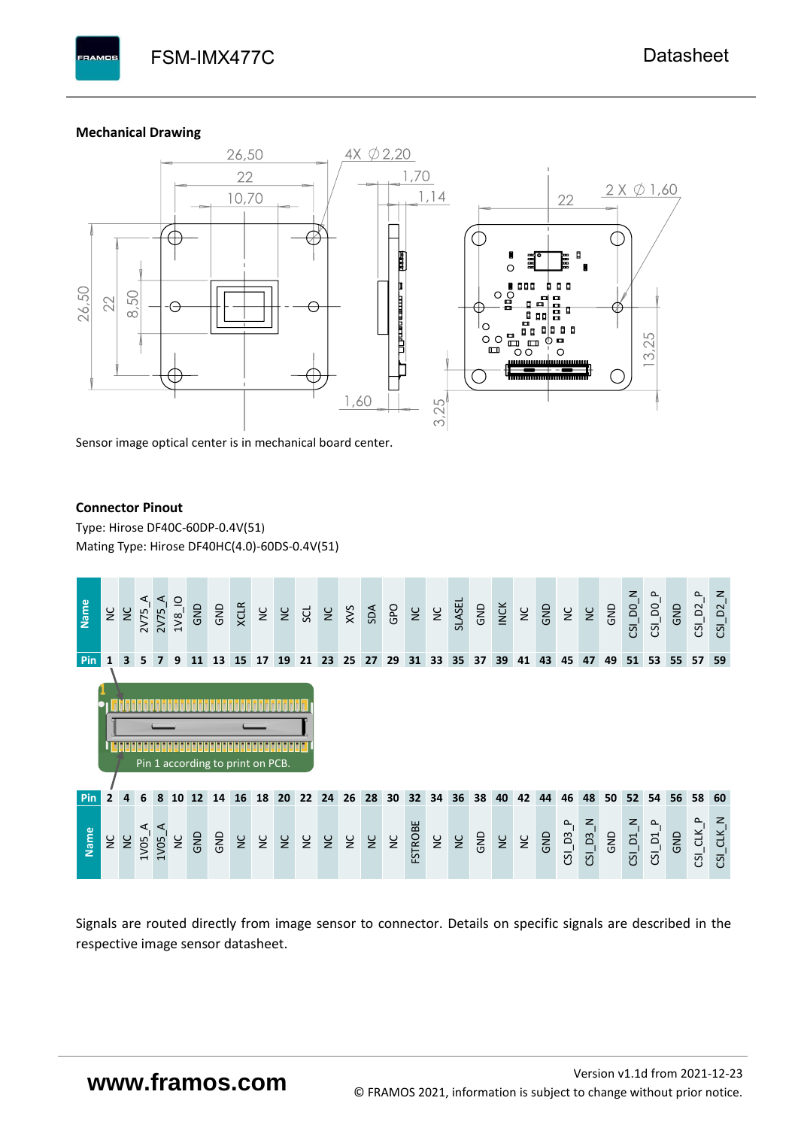#### **Mechanical Drawing**

**PAMOS** 



Sensor image optical center is in mechanical board center.

#### **Connector Pinout**

Type: [Hirose DF40C-60DP-0.4V\(51](#page-0-6)[\)](#page-0-6)  Mating Type: Hirose DF40HC(4.0)-60DS-0.4V(51)



Signals are routed directly from image sensor to connector. Details on specific signals are described in the respective image sensor datasheet.

# **www.framos.com**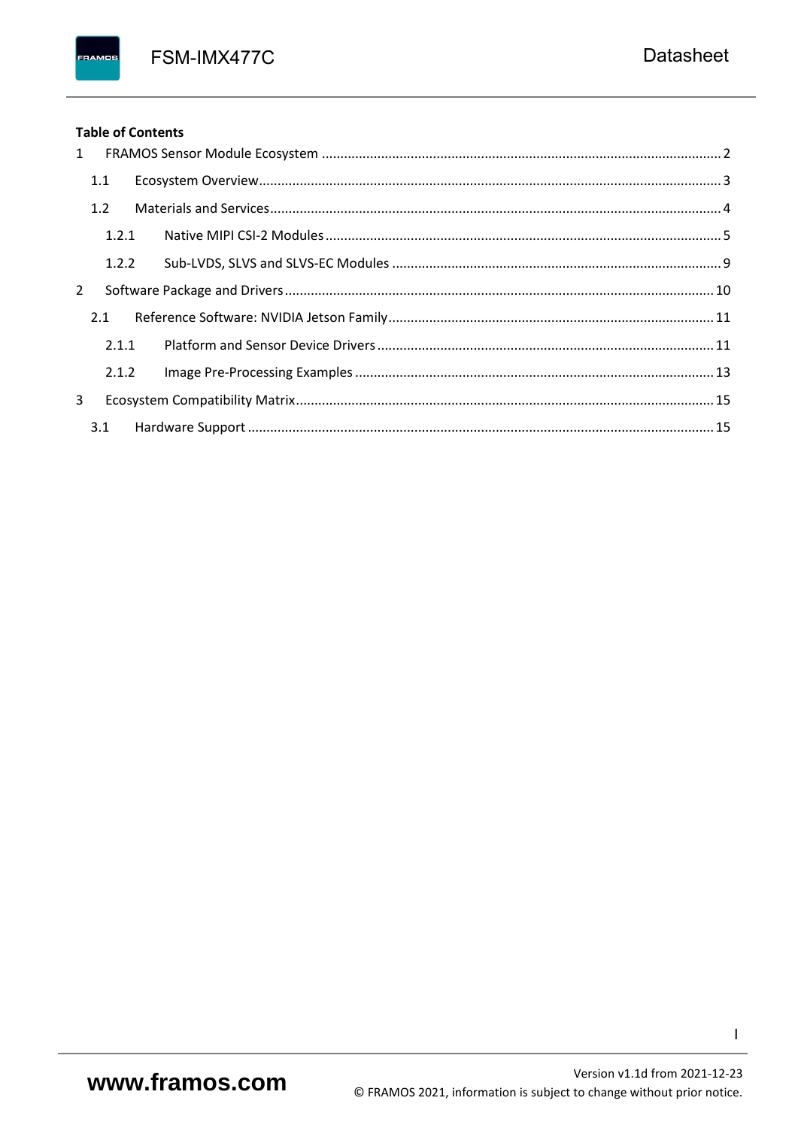FSM-IMX477C

### **Table of Contents**

FRAMOS

| 1 |       |  |
|---|-------|--|
|   | 1.1   |  |
|   | 1.2   |  |
|   | 1.2.1 |  |
|   | 1.2.2 |  |
| 2 |       |  |
|   | 2.1   |  |
|   | 2.1.1 |  |
|   | 2.1.2 |  |
| 3 |       |  |
|   |       |  |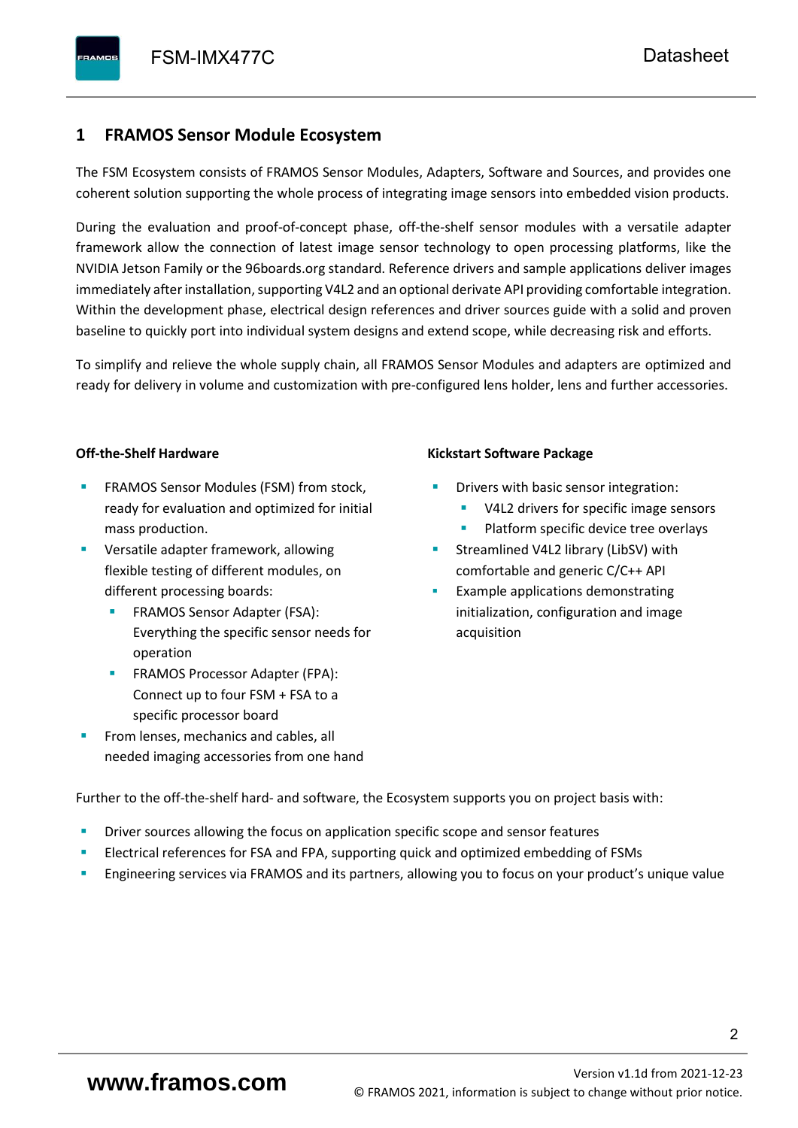## <span id="page-3-0"></span>**1 FRAMOS Sensor Module Ecosystem**

The FSM Ecosystem consists of FRAMOS Sensor Modules, Adapters, Software and Sources, and provides one coherent solution supporting the whole process of integrating image sensors into embedded vision products.

During the evaluation and proof-of-concept phase, off-the-shelf sensor modules with a versatile adapter framework allow the connection of latest image sensor technology to open processing platforms, like the NVIDIA Jetson Family or the 96boards.org standard. Reference drivers and sample applications deliver images immediately after installation, supporting V4L2 and an optional derivate API providing comfortable integration. Within the development phase, electrical design references and driver sources guide with a solid and proven baseline to quickly port into individual system designs and extend scope, while decreasing risk and efforts.

To simplify and relieve the whole supply chain, all FRAMOS Sensor Modules and adapters are optimized and ready for delivery in volume and customization with pre-configured lens holder, lens and further accessories.

#### **Off-the-Shelf Hardware**

- FRAMOS Sensor Modules (FSM) from stock, ready for evaluation and optimized for initial mass production.
- Versatile adapter framework, allowing flexible testing of different modules, on different processing boards:
	- FRAMOS Sensor Adapter (FSA): Everything the specific sensor needs for operation
	- FRAMOS Processor Adapter (FPA): Connect up to four FSM + FSA to a specific processor board
- From lenses, mechanics and cables, all needed imaging accessories from one hand

#### **Kickstart Software Package**

- Drivers with basic sensor integration:
	- V4L2 drivers for specific image sensors
	- Platform specific device tree overlays
- Streamlined V4L2 library (LibSV) with comfortable and generic C/C++ API
- Example applications demonstrating initialization, configuration and image acquisition

Further to the off-the-shelf hard- and software, the Ecosystem supports you on project basis with:

- Driver sources allowing the focus on application specific scope and sensor features
- Electrical references for FSA and FPA, supporting quick and optimized embedding of FSMs
- Engineering services via FRAMOS and its partners, allowing you to focus on your product's unique value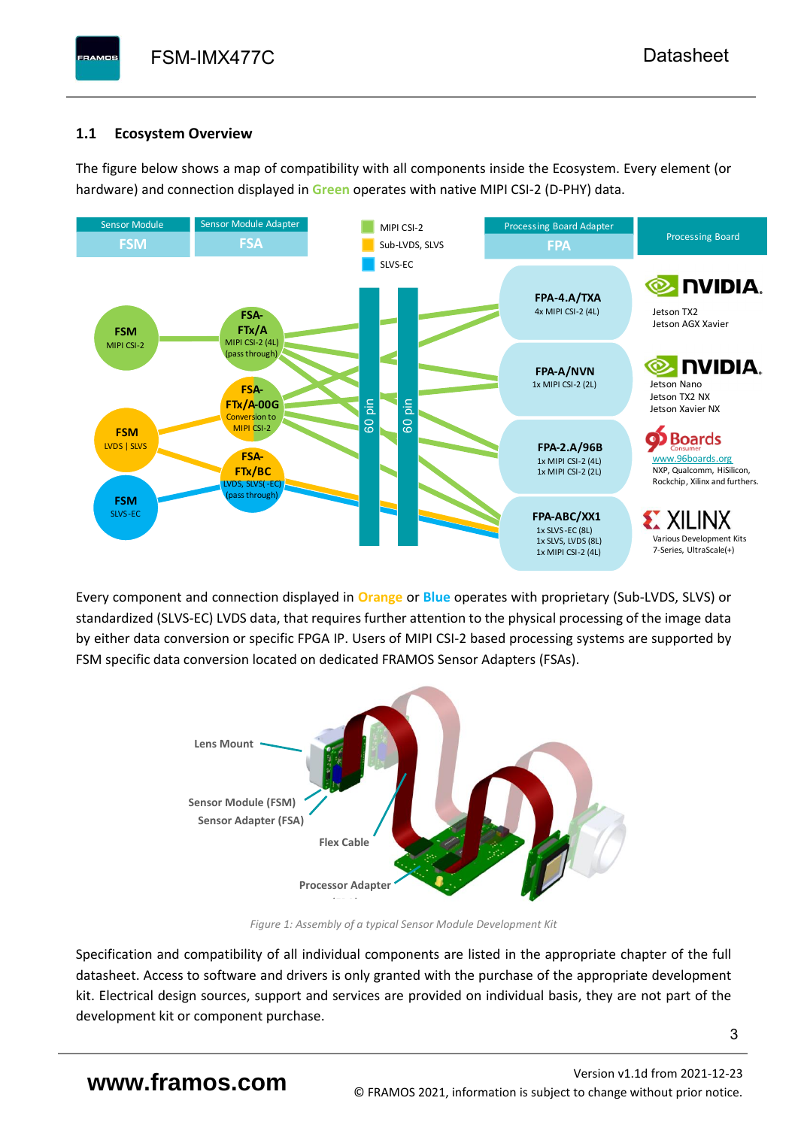# <span id="page-4-0"></span>**1.1 Ecosystem Overview**

**PAMOS** 

The figure below shows a map of compatibility with all components inside the Ecosystem. Every element (or hardware) and connection displayed in **Green** operates with native MIPI CSI-2 (D-PHY) data.



Every component and connection displayed in **Orange** or **Blue** operates with proprietary (Sub-LVDS, SLVS) or standardized (SLVS-EC) LVDS data, that requires further attention to the physical processing of the image data by either data conversion or specific FPGA IP. Users of MIPI CSI-2 based processing systems are supported by FSM specific data conversion located on dedicated FRAMOS Sensor Adapters (FSAs).



*Figure 1: Assembly of a typical Sensor Module Development Kit*

Specification and compatibility of all individual components are listed in the appropriate chapter of the full datasheet. Access to software and drivers is only granted with the purchase of the appropriate development kit. Electrical design sources, support and services are provided on individual basis, they are not part of the development kit or component purchase.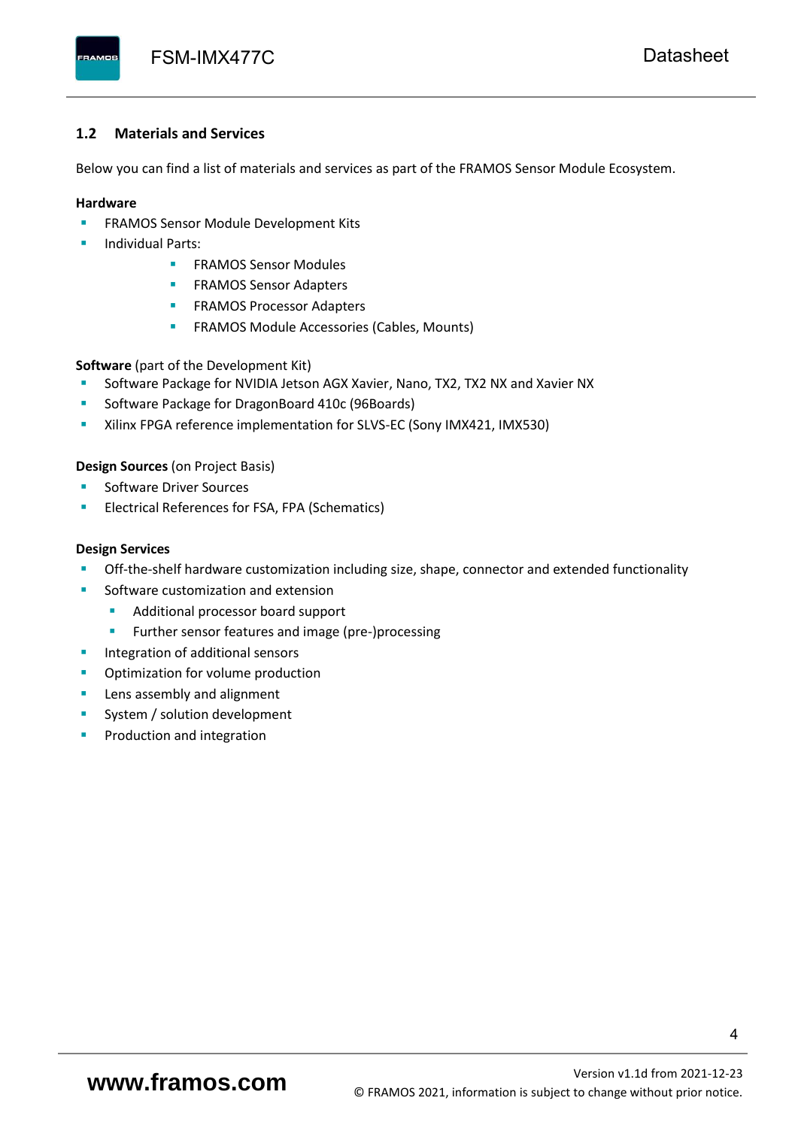#### <span id="page-5-0"></span>**1.2 Materials and Services**

Below you can find a list of materials and services as part of the FRAMOS Sensor Module Ecosystem.

#### **Hardware**

- **EXECTED FRAMOS Sensor Module Development Kits**
- **Individual Parts:** 
	- FRAMOS Sensor Modules
	- **FRAMOS Sensor Adapters**
	- **EXAMOS Processor Adapters**
	- **EXECTED** FRAMOS Module Accessories (Cables, Mounts)

**Software** (part of the Development Kit)

- Software Package for NVIDIA Jetson AGX Xavier, Nano, TX2, TX2 NX and Xavier NX
- Software Package for DragonBoard 410c (96Boards)
- **E** Xilinx FPGA reference implementation for SLVS-EC (Sony IMX421, IMX530)

#### **Design Sources** (on Project Basis)

- Software Driver Sources
- Electrical References for FSA, FPA (Schematics)

#### **Design Services**

- Off-the-shelf hardware customization including size, shape, connector and extended functionality
- Software customization and extension
	- Additional processor board support
	- Further sensor features and image (pre-)processing
- **■** Integration of additional sensors
- Optimization for volume production
- Lens assembly and alignment
- System / solution development
- Production and integration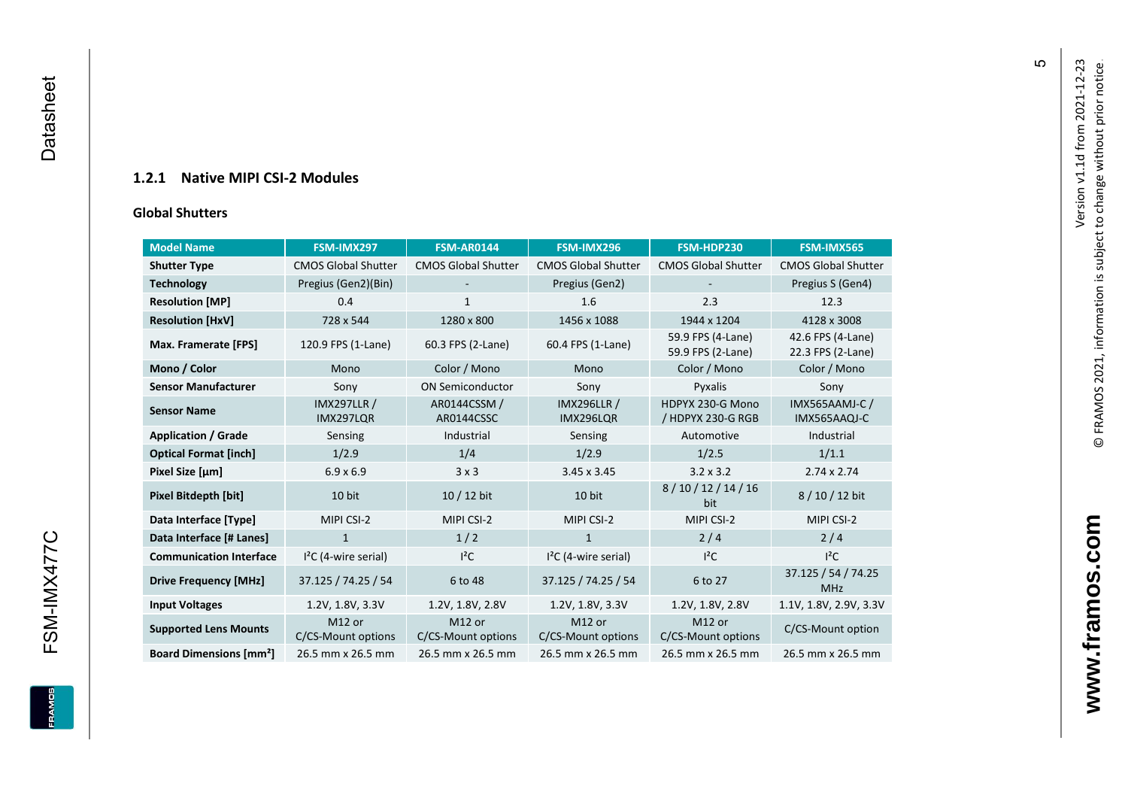### **1.2.1 Native MIPI CSI - 2 Modules**

#### **[Global Shu](#page-0-7)tters**

<span id="page-6-0"></span>

| <b>Model Name</b><br>FSM-IMX297          |                                 | <b>FSM-AR0144</b>            | FSM-IMX296                      | FSM-HDP230                             | FSM-IMX565                             |
|------------------------------------------|---------------------------------|------------------------------|---------------------------------|----------------------------------------|----------------------------------------|
| <b>Shutter Type</b>                      | <b>CMOS Global Shutter</b>      | <b>CMOS Global Shutter</b>   | <b>CMOS Global Shutter</b>      | <b>CMOS Global Shutter</b>             | <b>CMOS Global Shutter</b>             |
| <b>Technology</b>                        | Pregius (Gen2)(Bin)             | ٠                            | Pregius (Gen2)                  |                                        | Pregius S (Gen4)                       |
| <b>Resolution [MP]</b>                   | 0.4                             | 1                            | 1.6                             | 2.3                                    | 12.3                                   |
| <b>Resolution [HxV]</b>                  | 728 x 544                       | 1280 x 800                   | 1456 x 1088                     | 1944 x 1204                            | 4128 x 3008                            |
| Max. Framerate [FPS]                     | 120.9 FPS (1-Lane)              | 60.3 FPS (2-Lane)            | 60.4 FPS (1-Lane)               | 59.9 FPS (4-Lane)<br>59.9 FPS (2-Lane) | 42.6 FPS (4-Lane)<br>22.3 FPS (2-Lane) |
| Mono / Color                             | Mono                            | Color / Mono                 | Mono                            | Color / Mono                           | Color / Mono                           |
| <b>Sensor Manufacturer</b>               | Sony                            | <b>ON Semiconductor</b>      | Sony                            | Pyxalis                                | Sony                                   |
| <b>Sensor Name</b>                       | <b>IMX297LLR /</b><br>IMX297LQR | AR0144CSSM /<br>AR0144CSSC   | <b>IMX296LLR /</b><br>IMX296LQR | HDPYX 230-G Mono<br>/ HDPYX 230-G RGB  | <b>IMX565AAMJ-C/</b><br>IMX565AAQJ-C   |
| <b>Application / Grade</b>               | Sensing                         | Industrial                   | Sensing                         | Automotive                             | Industrial                             |
| <b>Optical Format [inch]</b>             | 1/2.9                           | 1/4                          | 1/2.9                           | 1/2.5                                  | 1/1.1                                  |
| Pixel Size [µm]                          | $6.9 \times 6.9$                | 3x3                          | $3.45 \times 3.45$              | $3.2 \times 3.2$                       | $2.74 \times 2.74$                     |
| <b>Pixel Bitdepth [bit]</b>              | 10 bit                          | 10 / 12 bit                  | 10 bit                          | 8/10/12/14/16<br>bit                   | 8/10/12 bit                            |
| Data Interface [Type]                    | MIPI CSI-2                      | MIPI CSI-2                   | MIPI CSI-2                      | MIPI CSI-2                             | MIPI CSI-2                             |
| Data Interface [# Lanes]                 | $\mathbf{1}$                    | 1/2                          | $\mathbf{1}$                    | 2/4                                    | 2/4                                    |
| <b>Communication Interface</b>           | $I2C$ (4-wire serial)           | $l^2C$                       | $I2C$ (4-wire serial)           | $I^2C$                                 | $I^2C$                                 |
| <b>Drive Frequency [MHz]</b>             | 37.125 / 74.25 / 54             | 6 to 48                      | 37.125 / 74.25 / 54             | 6 to 27                                | 37.125 / 54 / 74.25<br><b>MHz</b>      |
| <b>Input Voltages</b>                    | 1.2V, 1.8V, 3.3V                | 1.2V, 1.8V, 2.8V             | 1.2V, 1.8V, 3.3V                | 1.2V, 1.8V, 2.8V                       | 1.1V, 1.8V, 2.9V, 3.3V                 |
| <b>Supported Lens Mounts</b>             | M12 or<br>C/CS-Mount options    | M12 or<br>C/CS-Mount options | M12 or<br>C/CS-Mount options    | M12 or<br>C/CS-Mount options           | C/CS-Mount option                      |
| <b>Board Dimensions [mm<sup>2</sup>]</b> | 26.5 mm x 26.5 mm               | 26.5 mm x 26.5 mm            | 26.5 mm x 26.5 mm               | 26.5 mm x 26.5 mm                      | 26.5 mm x 26.5 mm                      |

 $\mathfrak{g}$ 

**www.framos.com**

www.framos.com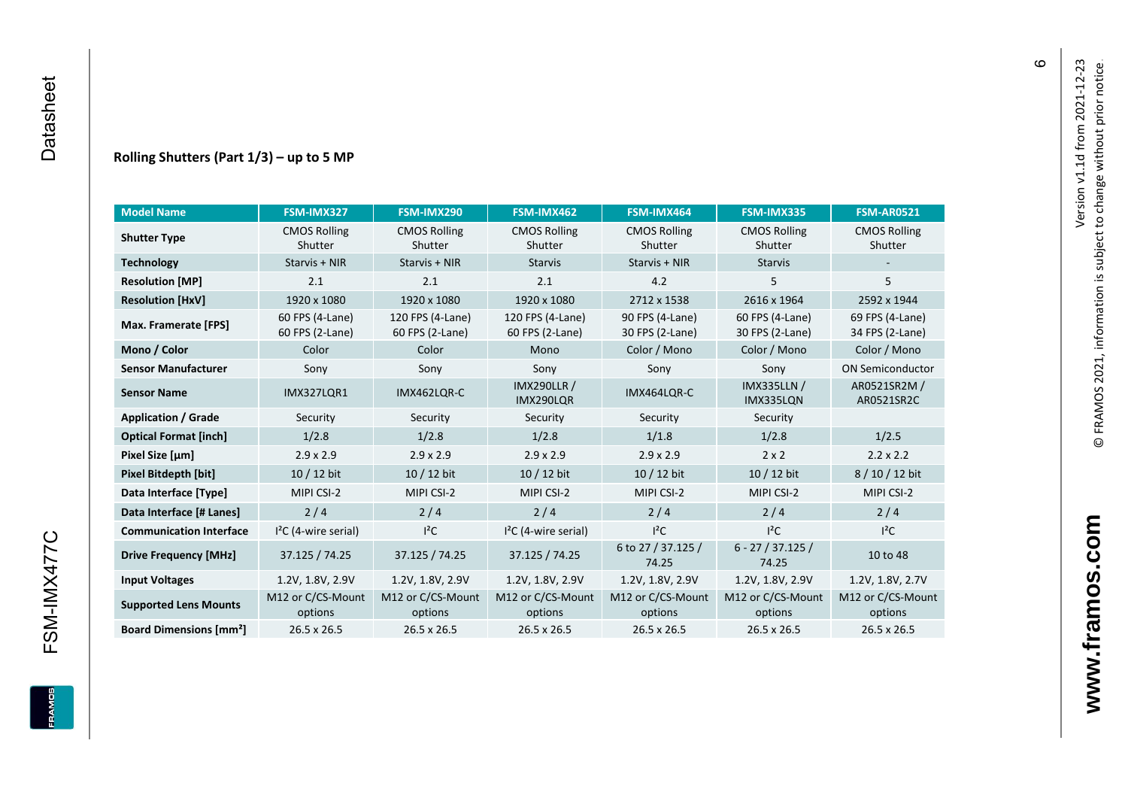#### **Rolling Shutters (Part 1/ 3 ) – up to 5 MP**

| <b>Model Name</b>                                     | FSM-IMX327                         | FSM-IMX290                          | FSM-IMX462                                     | FSM-IMX464                         | FSM-IMX335                         | <b>FSM-AR0521</b>                  |
|-------------------------------------------------------|------------------------------------|-------------------------------------|------------------------------------------------|------------------------------------|------------------------------------|------------------------------------|
| <b>CMOS Rolling</b><br><b>Shutter Type</b><br>Shutter |                                    | <b>CMOS Rolling</b><br>Shutter      | <b>CMOS Rolling</b><br>Shutter                 | <b>CMOS Rolling</b><br>Shutter     | <b>CMOS Rolling</b><br>Shutter     | <b>CMOS Rolling</b><br>Shutter     |
| <b>Technology</b>                                     | Starvis + NIR                      | Starvis + NIR                       | <b>Starvis</b>                                 | Starvis + NIR                      | <b>Starvis</b>                     |                                    |
| <b>Resolution [MP]</b>                                | 2.1                                | 2.1                                 | 2.1                                            | 4.2                                | 5                                  | 5                                  |
| <b>Resolution [HxV]</b>                               | 1920 x 1080                        | 1920 x 1080                         | 1920 x 1080                                    | 2712 x 1538                        | 2616 x 1964                        | 2592 x 1944                        |
| Max. Framerate [FPS]                                  | 60 FPS (4-Lane)<br>60 FPS (2-Lane) | 120 FPS (4-Lane)<br>60 FPS (2-Lane) | 120 FPS (4-Lane)<br>60 FPS (2-Lane)            | 90 FPS (4-Lane)<br>30 FPS (2-Lane) | 60 FPS (4-Lane)<br>30 FPS (2-Lane) | 69 FPS (4-Lane)<br>34 FPS (2-Lane) |
| Mono / Color                                          | Color                              | Color                               | Mono                                           | Color / Mono                       | Color / Mono                       | Color / Mono                       |
| <b>Sensor Manufacturer</b>                            | Sony                               | Sony                                | Sony                                           | Sony                               | Sony                               | <b>ON Semiconductor</b>            |
| <b>Sensor Name</b>                                    | <b>IMX327LOR1</b>                  | IMX462LOR-C                         | <b>IMX290LLR /</b><br>IMX464LQR-C<br>IMX290LQR |                                    | <b>IMX335LLN /</b><br>IMX335LQN    | AR0521SR2M /<br>AR0521SR2C         |
| <b>Application / Grade</b>                            | Security                           | Security                            | Security                                       | Security                           | Security                           |                                    |
| <b>Optical Format [inch]</b>                          | 1/2.8                              | 1/2.8                               | 1/2.8                                          | 1/1.8                              | 1/2.8                              | 1/2.5                              |
| Pixel Size [µm]                                       | $2.9 \times 2.9$                   | $2.9 \times 2.9$                    | $2.9 \times 2.9$                               | $2.9 \times 2.9$                   | $2 \times 2$                       | $2.2 \times 2.2$                   |
| <b>Pixel Bitdepth [bit]</b>                           | 10 / 12 bit                        | 10 / 12 bit                         | 10 / 12 bit<br>10 / 12 bit                     |                                    | 10 / 12 bit                        | 8/10/12 bit                        |
| Data Interface [Type]                                 | MIPI CSI-2                         | MIPI CSI-2                          | MIPI CSI-2                                     | MIPI CSI-2                         | MIPI CSI-2                         | MIPI CSI-2                         |
| Data Interface [# Lanes]                              | 2/4                                | 2/4                                 | 2/4                                            | 2/4                                | 2/4                                | 2/4                                |
| <b>Communication Interface</b>                        | $I2C$ (4-wire serial)              | $l^2C$                              | $I2C$ (4-wire serial)                          | $I^2C$                             | $l^2C$                             | $l^2C$                             |
| <b>Drive Frequency [MHz]</b>                          | 37.125 / 74.25<br>37.125 / 74.25   |                                     | 37.125 / 74.25                                 | 6 to 27 / 37.125 /<br>74.25        | $6 - 27 / 37.125 /$<br>74.25       | 10 to 48                           |
| <b>Input Voltages</b>                                 | 1.2V, 1.8V, 2.9V                   | 1.2V, 1.8V, 2.9V                    | 1.2V, 1.8V, 2.9V                               | 1.2V, 1.8V, 2.9V                   | 1.2V, 1.8V, 2.9V                   | 1.2V, 1.8V, 2.7V                   |
| <b>Supported Lens Mounts</b>                          | M12 or C/CS-Mount<br>options       | M12 or C/CS-Mount<br>options        | M12 or C/CS-Mount<br>options                   | M12 or C/CS-Mount<br>options       | M12 or C/CS-Mount<br>options       | M12 or C/CS-Mount<br>options       |
| <b>Board Dimensions [mm<sup>2</sup>]</b>              | $26.5 \times 26.5$                 | $26.5 \times 26.5$                  | 26.5 x 26.5                                    | $26.5 \times 26.5$                 | 26.5 x 26.5                        | 26.5 x 26.5                        |

 $\pmb{\circ}$ 

**www.framos.com**

www.framos.com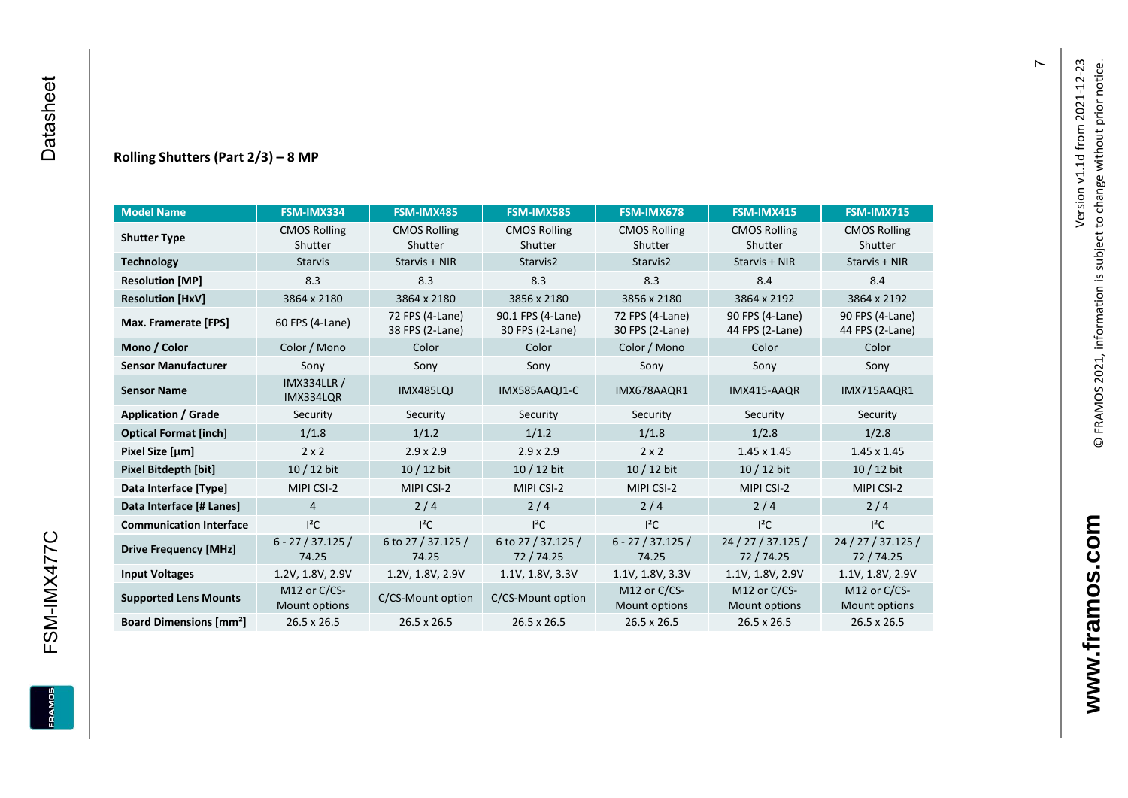#### **Rolling Shutters (Part 2/ 3 ) – 8 MP**

| <b>Model Name</b>                                     | FSM-IMX334                      | FSM-IMX485                         | <b>FSM-IMX585</b>                    | FSM-IMX678                         | <b>FSM-IMX415</b>                  | <b>FSM-IMX715</b>                  |
|-------------------------------------------------------|---------------------------------|------------------------------------|--------------------------------------|------------------------------------|------------------------------------|------------------------------------|
| <b>CMOS Rolling</b><br><b>Shutter Type</b><br>Shutter |                                 | <b>CMOS Rolling</b><br>Shutter     | <b>CMOS Rolling</b><br>Shutter       | <b>CMOS Rolling</b><br>Shutter     | <b>CMOS Rolling</b><br>Shutter     | <b>CMOS Rolling</b><br>Shutter     |
| <b>Technology</b>                                     | <b>Starvis</b>                  | Starvis + NIR                      | Starvis2                             | Starvis2                           | Starvis + NIR                      | Starvis + NIR                      |
| <b>Resolution [MP]</b>                                | 8.3                             | 8.3                                | 8.3                                  | 8.3                                | 8.4                                | 8.4                                |
| <b>Resolution [HxV]</b>                               | 3864 x 2180                     | 3864 x 2180                        | 3856 x 2180                          | 3856 x 2180                        | 3864 x 2192                        | 3864 x 2192                        |
| Max. Framerate [FPS]                                  | 60 FPS (4-Lane)                 | 72 FPS (4-Lane)<br>38 FPS (2-Lane) | 90.1 FPS (4-Lane)<br>30 FPS (2-Lane) | 72 FPS (4-Lane)<br>30 FPS (2-Lane) | 90 FPS (4-Lane)<br>44 FPS (2-Lane) | 90 FPS (4-Lane)<br>44 FPS (2-Lane) |
| Mono / Color                                          | Color / Mono                    | Color                              | Color                                | Color / Mono                       | Color                              | Color                              |
| <b>Sensor Manufacturer</b>                            | Sony                            | Sony                               | Sony                                 | Sony                               | Sony                               | Sony                               |
| <b>Sensor Name</b>                                    | <b>IMX334LLR /</b><br>IMX334LQR | <b>IMX485LQJ</b>                   | IMX585AAQJ1-C                        | IMX678AAQR1                        | IMX415-AAQR                        | IMX715AAQR1                        |
| <b>Application / Grade</b>                            | Security                        | Security                           | Security                             | Security                           | Security                           | Security                           |
| <b>Optical Format [inch]</b>                          | 1/1.8                           | 1/1.2                              | 1/1.2<br>1/1.8                       |                                    | 1/2.8                              | 1/2.8                              |
| Pixel Size [µm]                                       | $2 \times 2$                    | $2.9 \times 2.9$                   | $2.9 \times 2.9$                     | $2 \times 2$                       | $1.45 \times 1.45$                 | $1.45 \times 1.45$                 |
| <b>Pixel Bitdepth [bit]</b>                           | 10 / 12 bit                     | 10 / 12 bit                        | 10 / 12 bit                          | $10/12$ bit                        | 10 / 12 bit                        | $10/12$ bit                        |
| Data Interface [Type]                                 | MIPI CSI-2                      | MIPI CSI-2                         | MIPI CSI-2                           | MIPI CSI-2                         | MIPI CSI-2                         | MIPI CSI-2                         |
| Data Interface [# Lanes]                              | $\overline{4}$                  | 2/4                                | 2/4                                  | 2/4                                | 2/4                                | 2/4                                |
| <b>Communication Interface</b>                        | $I^2C$                          | $I^2C$                             | $I^2C$                               | $I^2C$                             | $I^2C$                             | $I^2C$                             |
| <b>Drive Frequency [MHz]</b>                          | $6 - 27 / 37.125 /$<br>74.25    | 6 to 27 / 37.125 /<br>74.25        | 6 to 27 / 37.125 /<br>72/74.25       | $6 - 27 / 37.125 /$<br>74.25       | 24 / 27 / 37.125 /<br>72 / 74.25   | 24 / 27 / 37.125 /<br>72 / 74.25   |
| <b>Input Voltages</b>                                 | 1.2V, 1.8V, 2.9V                | 1.2V, 1.8V, 2.9V                   | 1.1V, 1.8V, 3.3V                     | 1.1V, 1.8V, 3.3V                   | 1.1V, 1.8V, 2.9V                   | 1.1V, 1.8V, 2.9V                   |
| <b>Supported Lens Mounts</b>                          | M12 or C/CS-<br>Mount options   | C/CS-Mount option                  | C/CS-Mount option                    | M12 or C/CS-<br>Mount options      | M12 or C/CS-<br>Mount options      | M12 or C/CS-<br>Mount options      |
| <b>Board Dimensions [mm<sup>2</sup>]</b>              | 26.5 x 26.5                     | $26.5 \times 26.5$                 | 26.5 x 26.5                          | $26.5 \times 26.5$                 | 26.5 x 26.5                        | 26.5 x 26.5                        |

 $\overline{r}$ 

FSM-IMX477C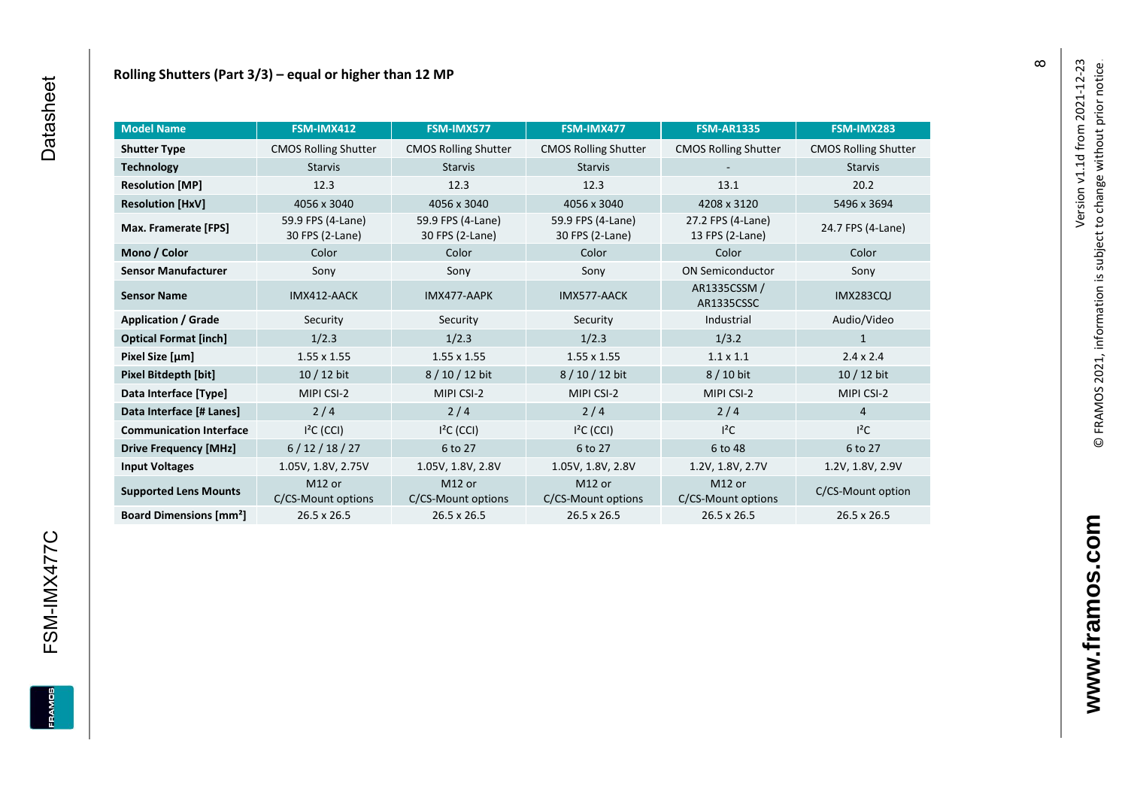| <b>Model Name</b>                        | FSM-IMX412                               | FSM-IMX577                               | FSM-IMX477                               | <b>FSM-AR1335</b>                    | FSM-IMX283                  |
|------------------------------------------|------------------------------------------|------------------------------------------|------------------------------------------|--------------------------------------|-----------------------------|
| <b>Shutter Type</b>                      | <b>CMOS Rolling Shutter</b>              | <b>CMOS Rolling Shutter</b>              | <b>CMOS Rolling Shutter</b>              | <b>CMOS Rolling Shutter</b>          | <b>CMOS Rolling Shutter</b> |
| <b>Technology</b>                        | <b>Starvis</b><br><b>Starvis</b>         |                                          | <b>Starvis</b>                           |                                      | <b>Starvis</b>              |
| <b>Resolution [MP]</b>                   | 12.3                                     | 12.3                                     | 12.3                                     | 13.1                                 | 20.2                        |
| <b>Resolution [HxV]</b>                  | 4056 x 3040                              | 4056 x 3040                              | 4056 x 3040                              | 4208 x 3120                          | 5496 x 3694                 |
| Max. Framerate [FPS]                     | 59.9 FPS (4-Lane)<br>30 FPS (2-Lane)     | 59.9 FPS (4-Lane)<br>30 FPS (2-Lane)     | 59.9 FPS (4-Lane)<br>30 FPS (2-Lane)     | 27.2 FPS (4-Lane)<br>13 FPS (2-Lane) | 24.7 FPS (4-Lane)           |
| Mono / Color                             | Color                                    | Color                                    | Color                                    | Color                                | Color                       |
| <b>Sensor Manufacturer</b>               | Sony                                     | Sony                                     | Sony                                     | <b>ON Semiconductor</b>              | Sony                        |
| <b>Sensor Name</b>                       | IMX412-AACK                              | IMX477-AAPK                              | IMX577-AACK                              | AR1335CSSM /<br>AR1335CSSC           | <b>IMX283CQJ</b>            |
| <b>Application / Grade</b>               | Security                                 | Security                                 | Security                                 | Industrial                           | Audio/Video                 |
| <b>Optical Format [inch]</b>             | 1/2.3                                    | 1/2.3                                    | 1/2.3                                    | 1/3.2                                | $\mathbf{1}$                |
| Pixel Size [µm]                          | $1.55 \times 1.55$                       | $1.55 \times 1.55$                       | $1.55 \times 1.55$                       | $1.1 \times 1.1$                     | $2.4 \times 2.4$            |
| Pixel Bitdepth [bit]                     | $10/12$ bit                              | 8 / 10 / 12 bit                          | 8 / 10 / 12 bit                          | 8 / 10 bit                           | 10 / 12 bit                 |
| Data Interface [Type]                    | MIPI CSI-2                               | MIPI CSI-2                               | MIPI CSI-2                               | MIPI CSI-2                           | MIPI CSI-2                  |
| Data Interface [# Lanes]                 | 2/4                                      | 2/4                                      | 2/4                                      | 2/4                                  | 4                           |
| <b>Communication Interface</b>           | $I2C$ (CCI)                              | $I2C$ (CCI)                              | $I2C$ (CCI)                              | $l^2C$                               | $l^2C$                      |
| <b>Drive Frequency [MHz]</b>             | 6/12/18/27                               | 6 to 27                                  | 6 to 27                                  | 6 to 48                              | 6 to 27                     |
| <b>Input Voltages</b>                    | 1.05V, 1.8V, 2.75V                       | 1.05V, 1.8V, 2.8V                        | 1.05V, 1.8V, 2.8V                        | 1.2V, 1.8V, 2.7V                     | 1.2V, 1.8V, 2.9V            |
| <b>Supported Lens Mounts</b>             | M <sub>12</sub> or<br>C/CS-Mount options | M <sub>12</sub> or<br>C/CS-Mount options | M <sub>12</sub> or<br>C/CS-Mount options | M12 or<br>C/CS-Mount options         | C/CS-Mount option           |
| <b>Board Dimensions [mm<sup>2</sup>]</b> | 26.5 x 26.5                              | 26.5 x 26.5                              | 26.5 x 26.5                              | 26.5 x 26.5                          | 26.5 x 26.5                 |

 $\infty$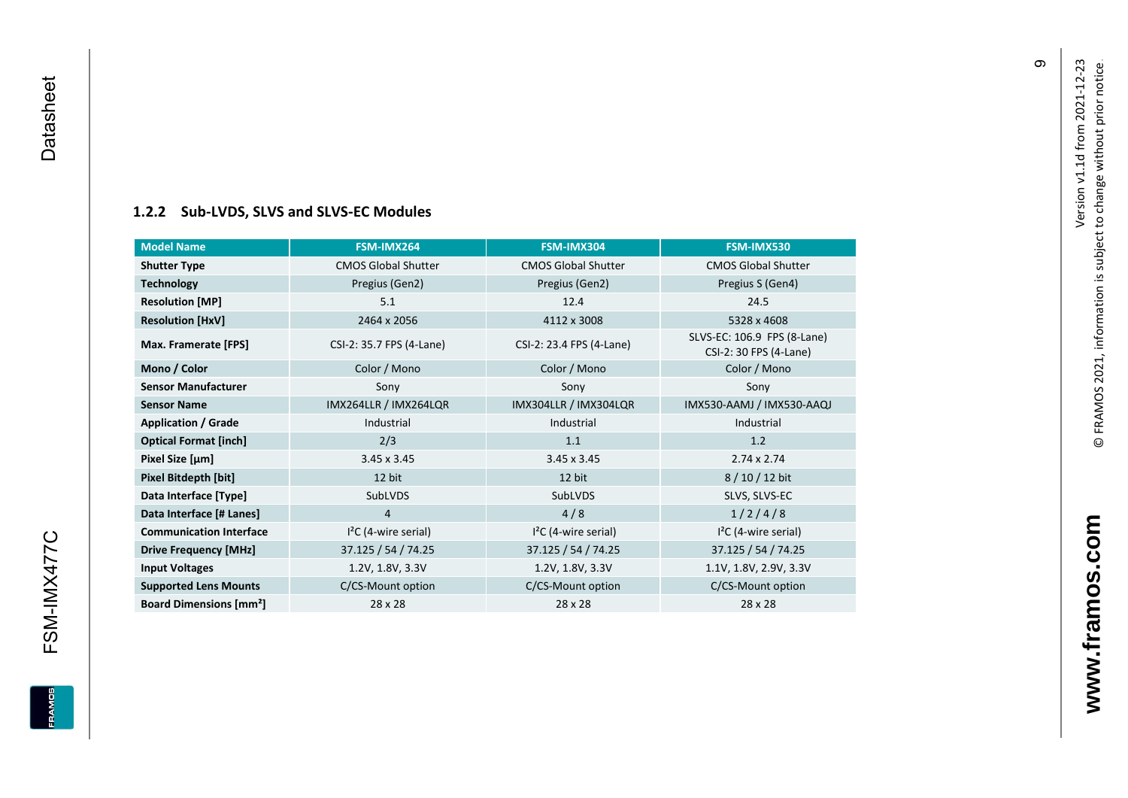#### **[1.2.2](#page-0-7) Sub -LVDS, SLVS and SLVS -EC Modules**

| <b>Model Name</b>                        | FSM-IMX264                 | FSM-IMX304                 | FSM-IMX530                                            |
|------------------------------------------|----------------------------|----------------------------|-------------------------------------------------------|
| <b>Shutter Type</b>                      | <b>CMOS Global Shutter</b> | <b>CMOS Global Shutter</b> | <b>CMOS Global Shutter</b>                            |
| <b>Technology</b>                        | Pregius (Gen2)             | Pregius (Gen2)             | Pregius S (Gen4)                                      |
| <b>Resolution [MP]</b>                   | 5.1                        | 12.4                       | 24.5                                                  |
| <b>Resolution [HxV]</b>                  | 2464 x 2056                | 4112 x 3008                | 5328 x 4608                                           |
| Max. Framerate [FPS]                     | CSI-2: 35.7 FPS (4-Lane)   | CSI-2: 23.4 FPS (4-Lane)   | SLVS-EC: 106.9 FPS (8-Lane)<br>CSI-2: 30 FPS (4-Lane) |
| Mono / Color                             | Color / Mono               | Color / Mono               | Color / Mono                                          |
| <b>Sensor Manufacturer</b>               | Sony                       | Sony                       | Sony                                                  |
| <b>Sensor Name</b>                       | IMX264LLR / IMX264LQR      | IMX304LLR / IMX304LQR      | IMX530-AAMJ / IMX530-AAQJ                             |
| <b>Application / Grade</b>               | Industrial                 | Industrial                 | Industrial                                            |
| <b>Optical Format [inch]</b>             | 2/3                        | 1.1                        | 1.2                                                   |
| Pixel Size [µm]                          | $3.45 \times 3.45$         | $3.45 \times 3.45$         | $2.74 \times 2.74$                                    |
| Pixel Bitdepth [bit]                     | 12 bit                     | 12 bit                     | 8/10/12 bit                                           |
| Data Interface [Type]                    | SubLVDS                    | <b>SubLVDS</b>             | SLVS, SLVS-EC                                         |
| Data Interface [# Lanes]                 | 4                          | 4/8                        | 1/2/4/8                                               |
| <b>Communication Interface</b>           | $I2C$ (4-wire serial)      | $I2C$ (4-wire serial)      | $I2C$ (4-wire serial)                                 |
| <b>Drive Frequency [MHz]</b>             | 37.125 / 54 / 74.25        | 37.125 / 54 / 74.25        | 37.125 / 54 / 74.25                                   |
| <b>Input Voltages</b>                    | 1.2V, 1.8V, 3.3V           | 1.2V, 1.8V, 3.3V           | 1.1V, 1.8V, 2.9V, 3.3V                                |
| <b>Supported Lens Mounts</b>             | C/CS-Mount option          | C/CS-Mount option          | C/CS-Mount option                                     |
| <b>Board Dimensions [mm<sup>2</sup>]</b> | 28 x 28                    | 28 x 28                    | 28 x 28                                               |

თ

**www.framos.com**

www.framos.com

<span id="page-10-0"></span>FSM-IMX477C

**EDWARE**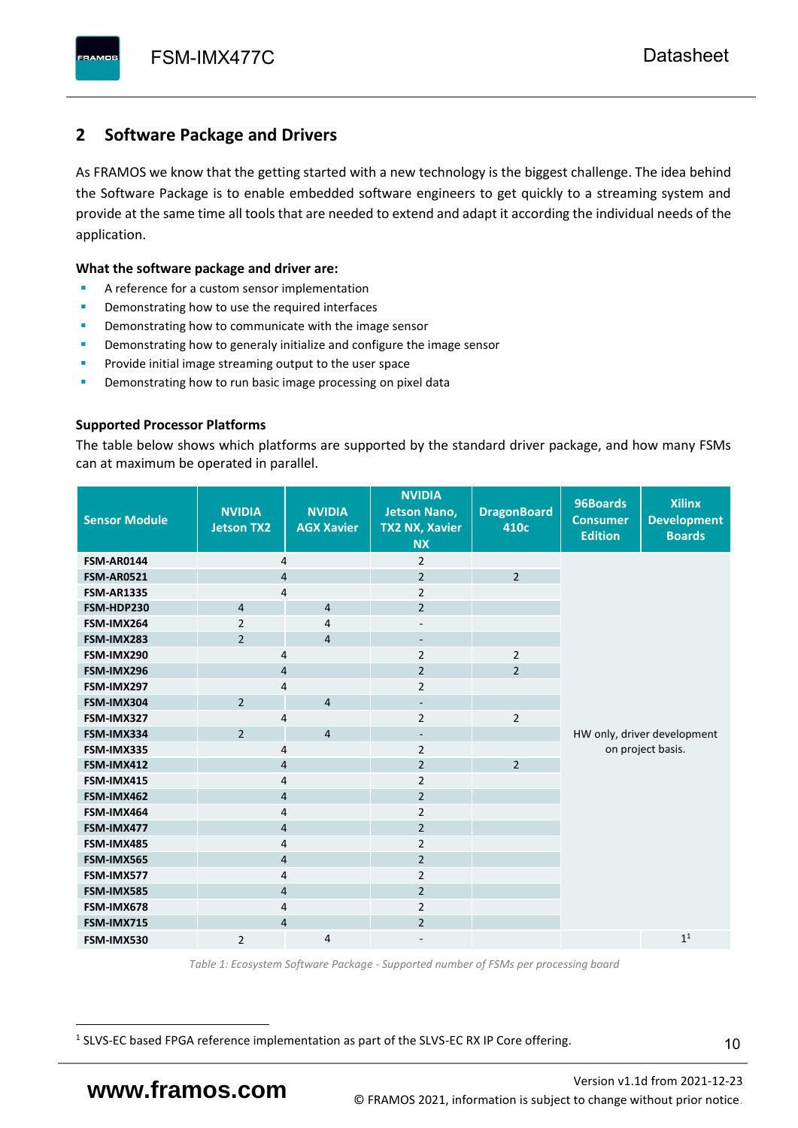# <span id="page-11-0"></span>**2 Software Package and Drivers**

As FRAMOS we know that the getting started with a new technology is the biggest challenge. The idea behind the Software Package is to enable embedded software engineers to get quickly to a streaming system and provide at the same time all tools that are needed to extend and adapt it according the individual needs of the application.

#### **What the software package and driver are:**

- A reference for a custom sensor implementation
- Demonstrating how to use the required interfaces
- Demonstrating how to communicate with the image sensor
- Demonstrating how to generaly initialize and configure the image sensor
- Provide initial image streaming output to the user space
- Demonstrating how to run basic image processing on pixel data

#### **Supported Processor Platforms**

The table below shows which platforms are supported by the standard driver package, and how many FSMs can at maximum be operated in parallel.

| <b>Sensor Module</b> | <b>NVIDIA</b><br><b>Jetson TX2</b> | <b>NVIDIA</b><br><b>AGX Xavier</b> | <b>NVIDIA</b><br><b>Jetson Nano,</b><br><b>TX2 NX, Xavier</b><br><b>NX</b> | <b>DragonBoard</b><br>410c | 96Boards<br><b>Consumer</b><br><b>Edition</b> | <b>Xilinx</b><br><b>Development</b><br><b>Boards</b> |  |
|----------------------|------------------------------------|------------------------------------|----------------------------------------------------------------------------|----------------------------|-----------------------------------------------|------------------------------------------------------|--|
| <b>FSM-AR0144</b>    | $\overline{4}$                     |                                    | $\overline{2}$                                                             |                            |                                               |                                                      |  |
| <b>FSM-AR0521</b>    | $\overline{4}$                     |                                    | $\overline{2}$                                                             | $\overline{2}$             |                                               |                                                      |  |
| <b>FSM-AR1335</b>    | 4                                  |                                    | $\overline{2}$                                                             |                            |                                               |                                                      |  |
| FSM-HDP230           | $\overline{4}$                     | $\overline{4}$                     | $\overline{2}$                                                             |                            |                                               |                                                      |  |
| FSM-IMX264           | $\overline{2}$                     | $\overline{4}$                     | $\overline{\phantom{a}}$                                                   |                            |                                               |                                                      |  |
| FSM-IMX283           | $\overline{2}$                     | $\overline{4}$                     | $\overline{\phantom{a}}$                                                   |                            |                                               |                                                      |  |
| FSM-IMX290           | 4                                  |                                    | $\overline{2}$                                                             | $\overline{2}$             |                                               |                                                      |  |
| FSM-IMX296           | 4                                  |                                    | $\overline{2}$                                                             | $\overline{2}$             |                                               |                                                      |  |
| FSM-IMX297           | 4                                  |                                    | $\overline{2}$                                                             |                            |                                               |                                                      |  |
| FSM-IMX304           | $\overline{2}$                     | $\overline{4}$                     | $\overline{\phantom{a}}$                                                   |                            |                                               |                                                      |  |
| FSM-IMX327           | 4                                  |                                    | $\overline{2}$                                                             | $\overline{2}$             |                                               |                                                      |  |
| FSM-IMX334           | $\overline{2}$                     | $\overline{4}$                     | $\overline{\phantom{0}}$                                                   |                            | HW only, driver development                   |                                                      |  |
| FSM-IMX335           | 4                                  |                                    | $\overline{2}$                                                             |                            |                                               | on project basis.                                    |  |
| FSM-IMX412           | $\overline{4}$                     |                                    | $\overline{2}$                                                             | $\overline{2}$             |                                               |                                                      |  |
| FSM-IMX415           | $\overline{4}$                     |                                    | $\overline{2}$                                                             |                            |                                               |                                                      |  |
| FSM-IMX462           | $\overline{4}$                     |                                    | $\overline{2}$                                                             |                            |                                               |                                                      |  |
| FSM-IMX464           | 4                                  |                                    | $\overline{2}$                                                             |                            |                                               |                                                      |  |
| FSM-IMX477           | 4                                  |                                    | $\overline{2}$                                                             |                            |                                               |                                                      |  |
| FSM-IMX485           | 4                                  |                                    | $\overline{2}$                                                             |                            |                                               |                                                      |  |
| FSM-IMX565           | $\overline{4}$                     |                                    | $\overline{2}$                                                             |                            |                                               |                                                      |  |
| FSM-IMX577           | $\overline{4}$                     |                                    | $\overline{2}$                                                             |                            |                                               |                                                      |  |
| FSM-IMX585           | $\overline{4}$                     |                                    | $\overline{2}$                                                             |                            |                                               |                                                      |  |
| FSM-IMX678           | 4                                  |                                    | $\overline{2}$                                                             |                            |                                               |                                                      |  |
| FSM-IMX715           | $\overline{4}$                     |                                    | $\overline{2}$                                                             |                            |                                               |                                                      |  |
| FSM-IMX530           | $\overline{2}$                     | $\overline{4}$                     |                                                                            |                            |                                               | 1 <sup>1</sup>                                       |  |

*Table 1: Ecosystem Software Package - Supported number of FSMs per processing board*

<sup>1</sup> SLVS-EC based FPGA reference implementation as part of the SLVS-EC RX IP Core offering.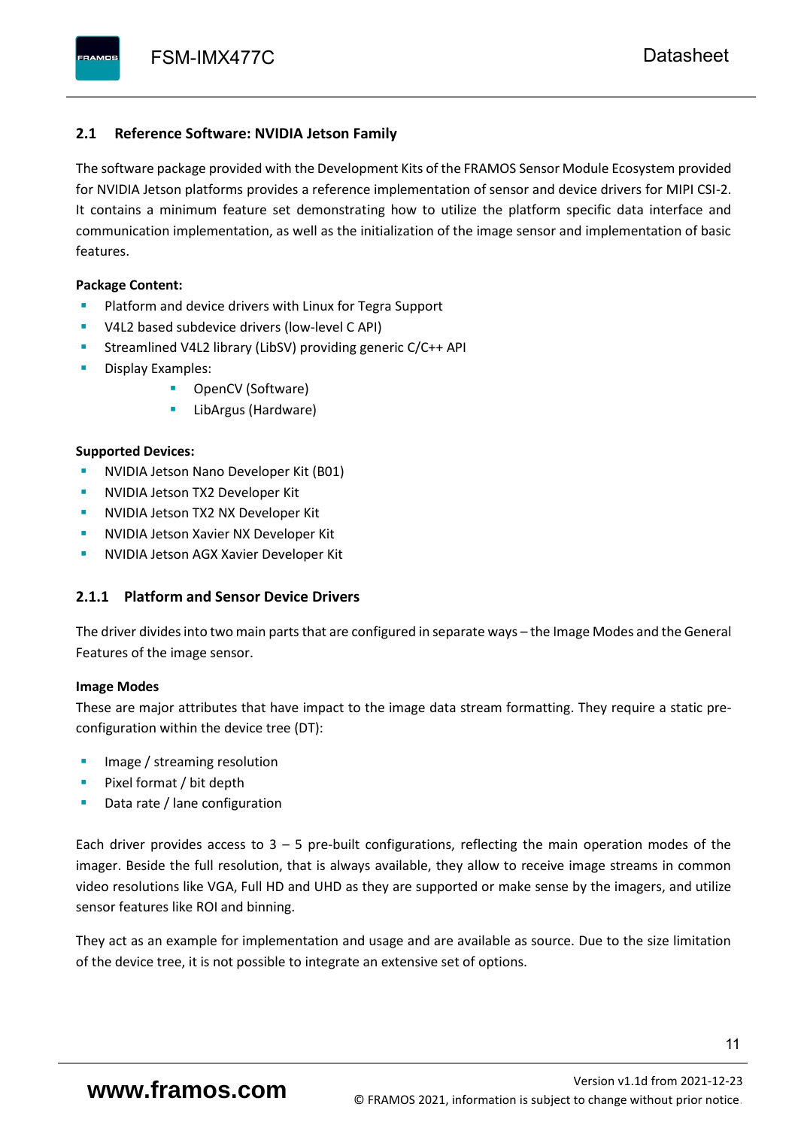#### <span id="page-12-0"></span>**2.1 Reference Software: NVIDIA Jetson Family**

The software package provided with the Development Kits of the FRAMOS Sensor Module Ecosystem provided for NVIDIA Jetson platforms provides a reference implementation of sensor and device drivers for MIPI CSI-2. It contains a minimum feature set demonstrating how to utilize the platform specific data interface and communication implementation, as well as the initialization of the image sensor and implementation of basic features.

#### **Package Content:**

- Platform and device drivers with Linux for Tegra Support
- V4L2 based subdevice drivers (low-level C API)
- Streamlined V4L2 library (LibSV) providing generic C/C++ API
- Display Examples:
	- OpenCV (Software)
	- LibArgus (Hardware)

#### **Supported Devices:**

- **NVIDIA Jetson Nano Developer Kit (B01)**
- **NVIDIA Jetson TX2 Developer Kit**
- NVIDIA Jetson TX2 NX Developer Kit
- **NVIDIA Jetson Xavier NX Developer Kit**
- **NVIDIA Jetson AGX Xavier Developer Kit**

### <span id="page-12-1"></span>**2.1.1 Platform and Sensor Device Drivers**

The driver divides into two main parts that are configured in separate ways – the Image Modes and the General Features of the image sensor.

#### **Image Modes**

These are major attributes that have impact to the image data stream formatting. They require a static preconfiguration within the device tree (DT):

- Image / streaming resolution
- Pixel format / bit depth
- Data rate / lane configuration

Each driver provides access to  $3 - 5$  pre-built configurations, reflecting the main operation modes of the imager. Beside the full resolution, that is always available, they allow to receive image streams in common video resolutions like VGA, Full HD and UHD as they are supported or make sense by the imagers, and utilize sensor features like ROI and binning.

They act as an example for implementation and usage and are available as source. Due to the size limitation of the device tree, it is not possible to integrate an extensive set of options.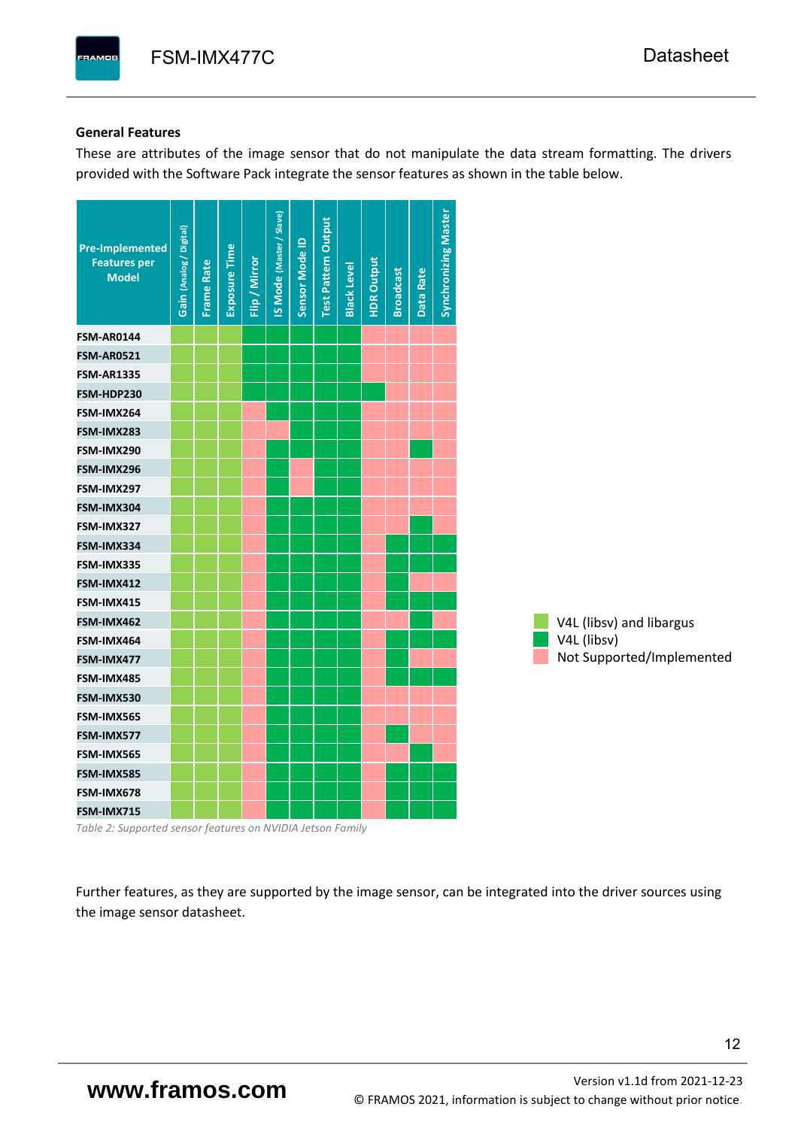#### **General Features**

These are attributes of the image sensor that do not manipulate the data stream formatting. The drivers provided with the Software Pack integrate the sensor features as shown in the table below.

| <b>Pre-Implemented</b><br><b>Features per</b><br><b>Model</b> | Gain (Analog / Digital) | <b>Frame Rate</b> | <b>Exposure Time</b> | Flip / Mirror | <b>IS Mode (Master / Slave)</b> | Sensor Mode ID | <b>Test Pattern Output</b> | <b>Black Level</b> | <b>HDR Output</b> | <b>Broadcast</b> | Data Rate | <b>Synchronizing Master</b> |                           |
|---------------------------------------------------------------|-------------------------|-------------------|----------------------|---------------|---------------------------------|----------------|----------------------------|--------------------|-------------------|------------------|-----------|-----------------------------|---------------------------|
| <b>FSM-AR0144</b>                                             |                         |                   |                      |               |                                 |                |                            |                    |                   |                  |           |                             |                           |
| <b>FSM-AR0521</b>                                             |                         |                   |                      |               |                                 |                |                            |                    |                   |                  |           |                             |                           |
| <b>FSM-AR1335</b>                                             |                         |                   |                      |               |                                 |                |                            |                    |                   |                  |           |                             |                           |
| FSM-HDP230                                                    |                         |                   |                      |               |                                 |                |                            |                    |                   |                  |           |                             |                           |
| FSM-IMX264                                                    |                         |                   |                      |               |                                 |                |                            |                    |                   |                  |           |                             |                           |
| FSM-IMX283                                                    |                         |                   |                      |               |                                 |                |                            |                    |                   |                  |           |                             |                           |
| FSM-IMX290                                                    |                         |                   |                      |               |                                 |                |                            |                    |                   |                  |           |                             |                           |
| FSM-IMX296                                                    |                         |                   |                      |               |                                 |                |                            |                    |                   |                  |           |                             |                           |
| FSM-IMX297                                                    |                         |                   |                      |               |                                 |                |                            |                    |                   |                  |           |                             |                           |
| FSM-IMX304                                                    |                         |                   |                      |               |                                 |                |                            |                    |                   |                  |           |                             |                           |
| FSM-IMX327                                                    |                         |                   |                      |               |                                 |                |                            |                    |                   |                  |           |                             |                           |
| FSM-IMX334                                                    |                         |                   |                      |               |                                 |                |                            |                    |                   |                  |           |                             |                           |
| FSM-IMX335                                                    |                         |                   |                      |               |                                 |                |                            |                    |                   |                  |           |                             |                           |
| FSM-IMX412                                                    |                         |                   |                      |               |                                 |                |                            |                    |                   |                  |           |                             |                           |
| FSM-IMX415                                                    |                         |                   |                      |               |                                 |                |                            |                    |                   |                  |           |                             |                           |
| FSM-IMX462                                                    |                         |                   |                      |               |                                 |                |                            |                    |                   |                  |           |                             | V4L (libsv) and libargus  |
| FSM-IMX464                                                    |                         |                   |                      |               |                                 |                |                            |                    |                   |                  |           |                             | V4L (libsv)               |
| FSM-IMX477                                                    |                         |                   |                      |               |                                 |                |                            |                    |                   |                  |           |                             | Not Supported/Implemented |
| FSM-IMX485                                                    |                         |                   |                      |               |                                 |                |                            |                    |                   |                  |           |                             |                           |
| FSM-IMX530                                                    |                         |                   |                      |               |                                 |                |                            |                    |                   |                  |           |                             |                           |
| FSM-IMX565                                                    |                         |                   |                      |               |                                 |                |                            |                    |                   |                  |           |                             |                           |
| FSM-IMX577                                                    |                         |                   |                      |               |                                 |                |                            |                    |                   |                  |           |                             |                           |
| FSM-IMX565                                                    |                         |                   |                      |               |                                 |                |                            |                    |                   |                  |           |                             |                           |
| FSM-IMX585                                                    |                         |                   |                      |               |                                 |                |                            |                    |                   |                  |           |                             |                           |
| FSM-IMX678                                                    |                         |                   |                      |               |                                 |                |                            |                    |                   |                  |           |                             |                           |
| FSM-IMX715                                                    |                         |                   |                      |               |                                 |                |                            |                    |                   |                  |           |                             |                           |

*Table 2: Supported sensor features on NVIDIA Jetson Family*

Further features, as they are supported by the image sensor, can be integrated into the driver sources using the image sensor datasheet.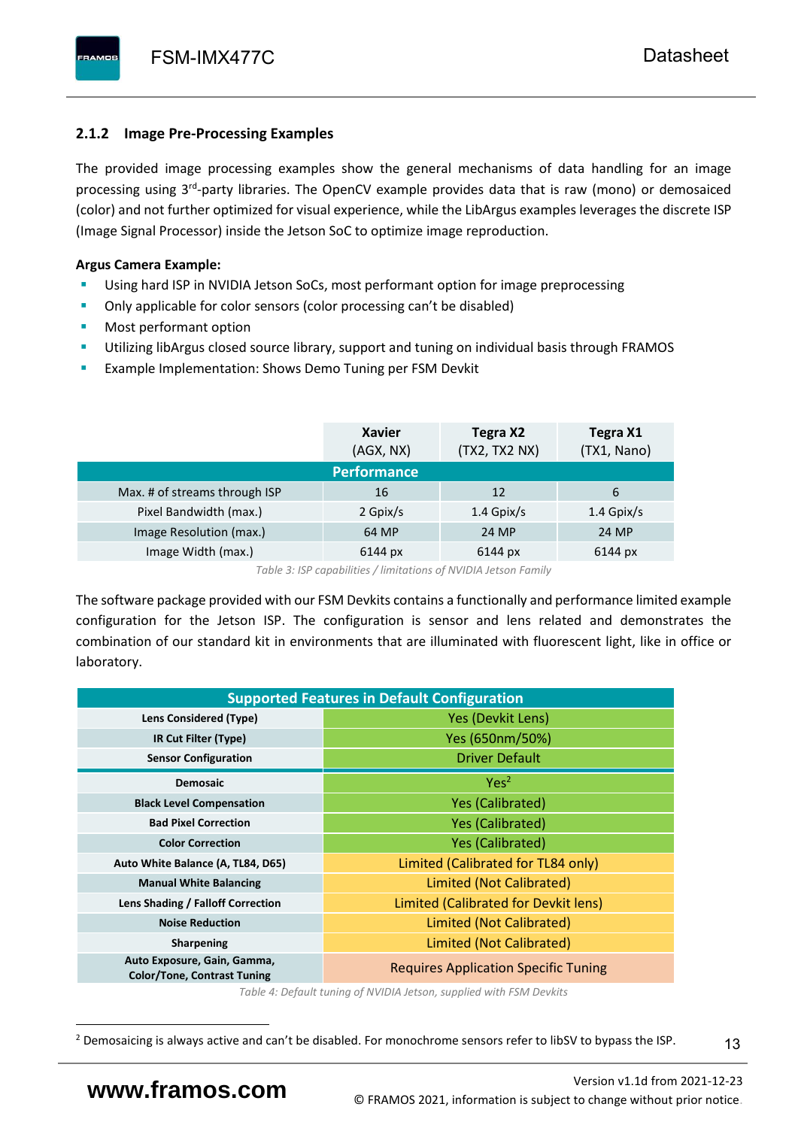# <span id="page-14-0"></span>**2.1.2 Image Pre-Processing Examples**

The provided image processing examples show the general mechanisms of data handling for an image processing using 3<sup>rd</sup>-party libraries. The OpenCV example provides data that is raw (mono) or demosaiced (color) and not further optimized for visual experience, while the LibArgus examples leverages the discrete ISP (Image Signal Processor) inside the Jetson SoC to optimize image reproduction.

## **Argus Camera Example:**

- Using hard ISP in NVIDIA Jetson SoCs, most performant option for image preprocessing
- Only applicable for color sensors (color processing can't be disabled)
- Most performant option
- Utilizing libArgus closed source library, support and tuning on individual basis through FRAMOS
- Example Implementation: Shows Demo Tuning per FSM Devkit

|                               | <b>Xavier</b><br>(AGX, NX) | Tegra X2<br>(TX2, TX2 NX) | Tegra X1<br>(TX1, Nano) |
|-------------------------------|----------------------------|---------------------------|-------------------------|
|                               | <b>Performance</b>         |                           |                         |
| Max. # of streams through ISP | 16                         | 12                        | 6                       |
| Pixel Bandwidth (max.)        | 2 Gpix/s                   | $1.4$ Gpix/s              | $1.4$ Gpix/s            |
| Image Resolution (max.)       | 64 MP                      | 24 MP                     | 24 MP                   |
| Image Width (max.)            | 6144 px                    | 6144 px                   | 6144 px                 |

*Table 3: ISP capabilities / limitations of NVIDIA Jetson Family*

The software package provided with our FSM Devkits contains a functionally and performance limited example configuration for the Jetson ISP. The configuration is sensor and lens related and demonstrates the combination of our standard kit in environments that are illuminated with fluorescent light, like in office or laboratory.

| <b>Supported Features in Default Configuration</b>                |                                             |  |  |  |  |  |  |
|-------------------------------------------------------------------|---------------------------------------------|--|--|--|--|--|--|
| Lens Considered (Type)                                            | Yes (Devkit Lens)                           |  |  |  |  |  |  |
| IR Cut Filter (Type)                                              | Yes (650nm/50%)                             |  |  |  |  |  |  |
| <b>Sensor Configuration</b>                                       | <b>Driver Default</b>                       |  |  |  |  |  |  |
| <b>Demosaic</b>                                                   | Yes <sup>2</sup>                            |  |  |  |  |  |  |
| <b>Black Level Compensation</b>                                   | <b>Yes (Calibrated)</b>                     |  |  |  |  |  |  |
| <b>Bad Pixel Correction</b>                                       | <b>Yes (Calibrated)</b>                     |  |  |  |  |  |  |
| <b>Color Correction</b>                                           | <b>Yes (Calibrated)</b>                     |  |  |  |  |  |  |
| Auto White Balance (A, TL84, D65)                                 | Limited (Calibrated for TL84 only)          |  |  |  |  |  |  |
| <b>Manual White Balancing</b>                                     | Limited (Not Calibrated)                    |  |  |  |  |  |  |
| Lens Shading / Falloff Correction                                 | Limited (Calibrated for Devkit lens)        |  |  |  |  |  |  |
| <b>Noise Reduction</b>                                            | Limited (Not Calibrated)                    |  |  |  |  |  |  |
| <b>Sharpening</b>                                                 | Limited (Not Calibrated)                    |  |  |  |  |  |  |
| Auto Exposure, Gain, Gamma,<br><b>Color/Tone, Contrast Tuning</b> | <b>Requires Application Specific Tuning</b> |  |  |  |  |  |  |

*Table 4: Default tuning of NVIDIA Jetson, supplied with FSM Devkits*

<sup>&</sup>lt;sup>2</sup> Demosaicing is always active and can't be disabled. For monochrome sensors refer to libSV to bypass the ISP.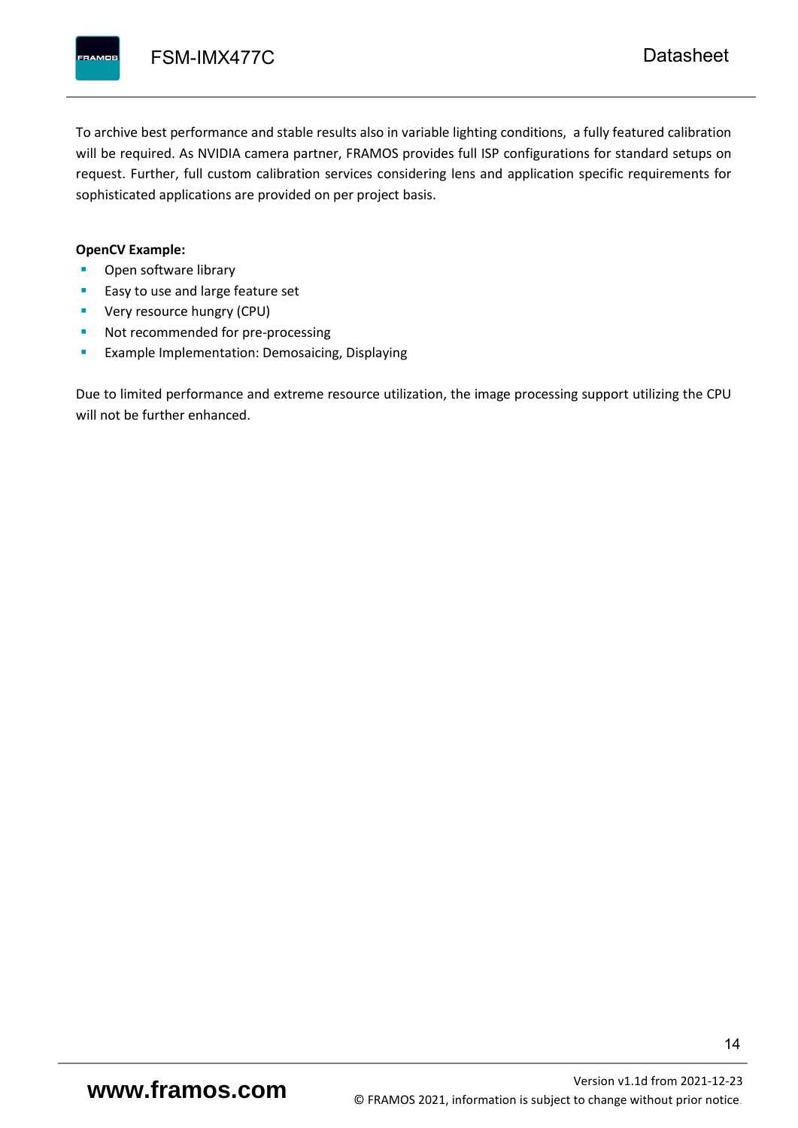To archive best performance and stable results also in variable lighting conditions, a fully featured calibration will be required. As NVIDIA camera partner, FRAMOS provides full ISP configurations for standard setups on request. Further, full custom calibration services considering lens and application specific requirements for sophisticated applications are provided on per project basis.

#### **OpenCV Example:**

- Open software library
- Easy to use and large feature set
- **•** Very resource hungry (CPU)
- Not recommended for pre-processing
- **Example Implementation: Demosaicing, Displaying**

Due to limited performance and extreme resource utilization, the image processing support utilizing the CPU will not be further enhanced.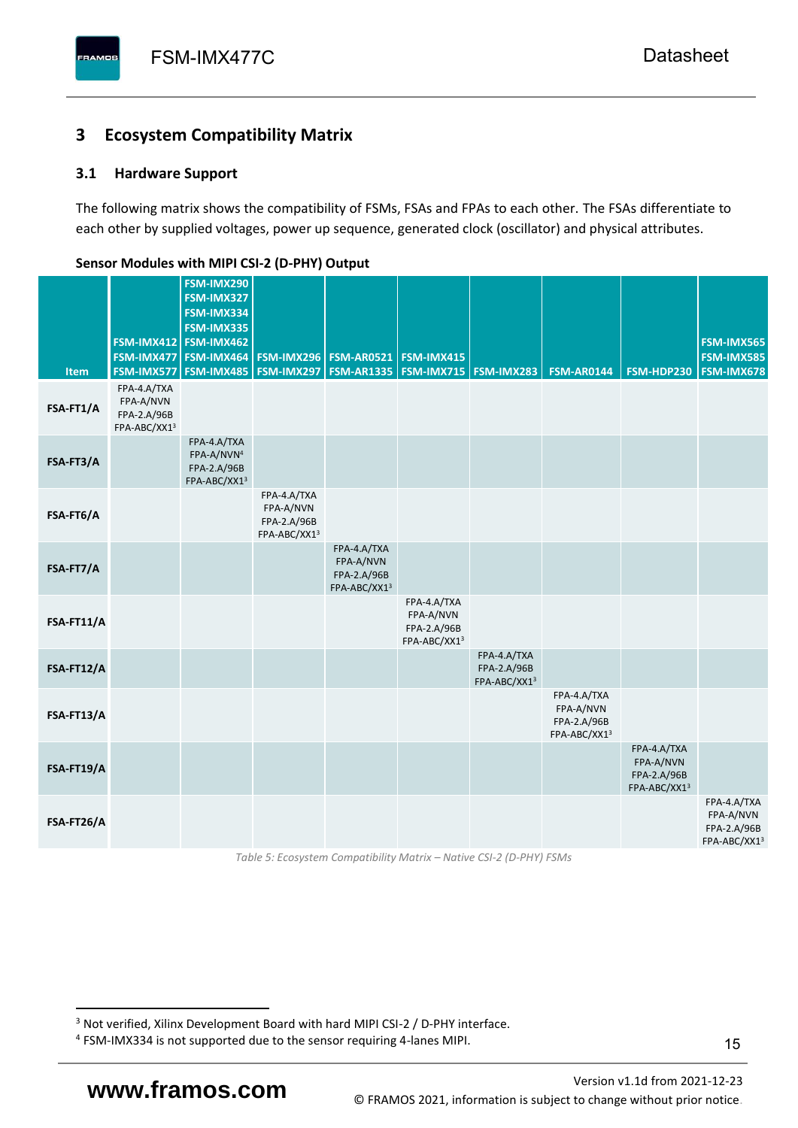# <span id="page-16-0"></span>**3 Ecosystem Compatibility Matrix**

## <span id="page-16-1"></span>**3.1 Hardware Support**

The following matrix shows the compatibility of FSMs, FSAs and FPAs to each other. The FSAs differentiate to each other by supplied voltages, power up sequence, generated clock (oscillator) and physical attributes.

| <b>Item</b> | FSM-IMX477<br>FSM-IMX577                                | FSM-IMX290<br>FSM-IMX327<br>FSM-IMX334<br>FSM-IMX335<br>FSM-IMX412 FSM-IMX462<br>FSM-IMX464<br><b>FSM-IMX485</b> | <b>FSM-IMX296</b><br>FSM-IMX297                         | <b>FSM-AR0521</b><br><b>FSM-AR1335</b>                  | FSM-IMX415<br><b>FSM-IMX715 FSM-IMX283</b>              |                                            | <b>FSM-AR0144</b>                                       | FSM-HDP230                                              | FSM-IMX565<br>FSM-IMX585<br>FSM-IMX678                  |
|-------------|---------------------------------------------------------|------------------------------------------------------------------------------------------------------------------|---------------------------------------------------------|---------------------------------------------------------|---------------------------------------------------------|--------------------------------------------|---------------------------------------------------------|---------------------------------------------------------|---------------------------------------------------------|
| FSA-FT1/A   | FPA-4.A/TXA<br>FPA-A/NVN<br>FPA-2.A/96B<br>FPA-ABC/XX13 |                                                                                                                  |                                                         |                                                         |                                                         |                                            |                                                         |                                                         |                                                         |
| FSA-FT3/A   |                                                         | FPA-4.A/TXA<br>FPA-A/NVN <sup>4</sup><br>FPA-2.A/96B<br>FPA-ABC/XX13                                             |                                                         |                                                         |                                                         |                                            |                                                         |                                                         |                                                         |
| FSA-FT6/A   |                                                         |                                                                                                                  | FPA-4.A/TXA<br>FPA-A/NVN<br>FPA-2.A/96B<br>FPA-ABC/XX13 |                                                         |                                                         |                                            |                                                         |                                                         |                                                         |
| FSA-FT7/A   |                                                         |                                                                                                                  |                                                         | FPA-4.A/TXA<br>FPA-A/NVN<br>FPA-2.A/96B<br>FPA-ABC/XX13 |                                                         |                                            |                                                         |                                                         |                                                         |
| FSA-FT11/A  |                                                         |                                                                                                                  |                                                         |                                                         | FPA-4.A/TXA<br>FPA-A/NVN<br>FPA-2.A/96B<br>FPA-ABC/XX13 |                                            |                                                         |                                                         |                                                         |
| FSA-FT12/A  |                                                         |                                                                                                                  |                                                         |                                                         |                                                         | FPA-4.A/TXA<br>FPA-2.A/96B<br>FPA-ABC/XX13 |                                                         |                                                         |                                                         |
| FSA-FT13/A  |                                                         |                                                                                                                  |                                                         |                                                         |                                                         |                                            | FPA-4.A/TXA<br>FPA-A/NVN<br>FPA-2.A/96B<br>FPA-ABC/XX13 |                                                         |                                                         |
| FSA-FT19/A  |                                                         |                                                                                                                  |                                                         |                                                         |                                                         |                                            |                                                         | FPA-4.A/TXA<br>FPA-A/NVN<br>FPA-2.A/96B<br>FPA-ABC/XX13 |                                                         |
| FSA-FT26/A  |                                                         |                                                                                                                  |                                                         |                                                         |                                                         |                                            |                                                         |                                                         | FPA-4.A/TXA<br>FPA-A/NVN<br>FPA-2.A/96B<br>FPA-ABC/XX13 |

#### <span id="page-16-2"></span>**Sensor Modules with MIPI CSI-2 (D-PHY) Output**

*Table 5: Ecosystem Compatibility Matrix – Native CSI-2 (D-PHY) FSMs*

Version [v1.1d](#page-0-3) from 2021-12-23 **www.framos.com** © FRAMOS 2021, [information is subject to change without prior notice.](mailto:sales@framos.de)

<sup>&</sup>lt;sup>3</sup> Not verified, Xilinx Development Board with hard MIPI CSI-2 / D-PHY interface.

<sup>4</sup> FSM-IMX334 is not supported due to the sensor requiring 4-lanes MIPI.